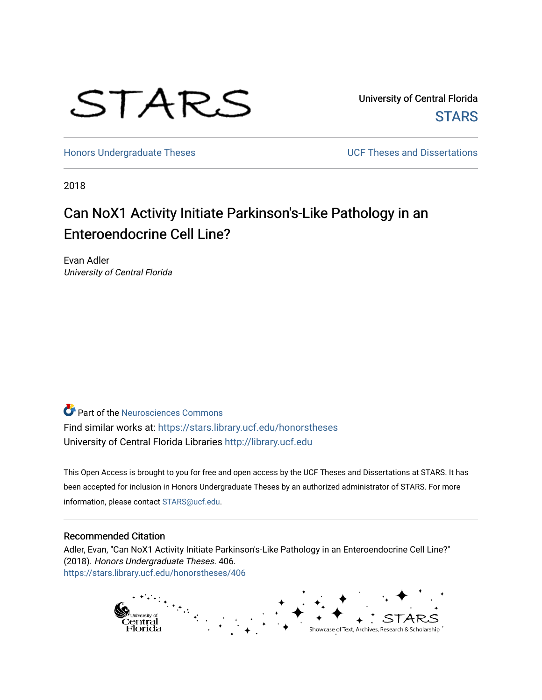

University of Central Florida **STARS** 

[Honors Undergraduate Theses](https://stars.library.ucf.edu/honorstheses) **No. 2018** UCF Theses and Dissertations

2018

# Can NoX1 Activity Initiate Parkinson's-Like Pathology in an Enteroendocrine Cell Line?

Evan Adler University of Central Florida

**P** Part of the Neurosciences Commons Find similar works at: <https://stars.library.ucf.edu/honorstheses> University of Central Florida Libraries [http://library.ucf.edu](http://library.ucf.edu/) 

This Open Access is brought to you for free and open access by the UCF Theses and Dissertations at STARS. It has been accepted for inclusion in Honors Undergraduate Theses by an authorized administrator of STARS. For more information, please contact [STARS@ucf.edu.](mailto:STARS@ucf.edu)

#### Recommended Citation

Adler, Evan, "Can NoX1 Activity Initiate Parkinson's-Like Pathology in an Enteroendocrine Cell Line?" (2018). Honors Undergraduate Theses. 406. [https://stars.library.ucf.edu/honorstheses/406](https://stars.library.ucf.edu/honorstheses/406?utm_source=stars.library.ucf.edu%2Fhonorstheses%2F406&utm_medium=PDF&utm_campaign=PDFCoverPages) 

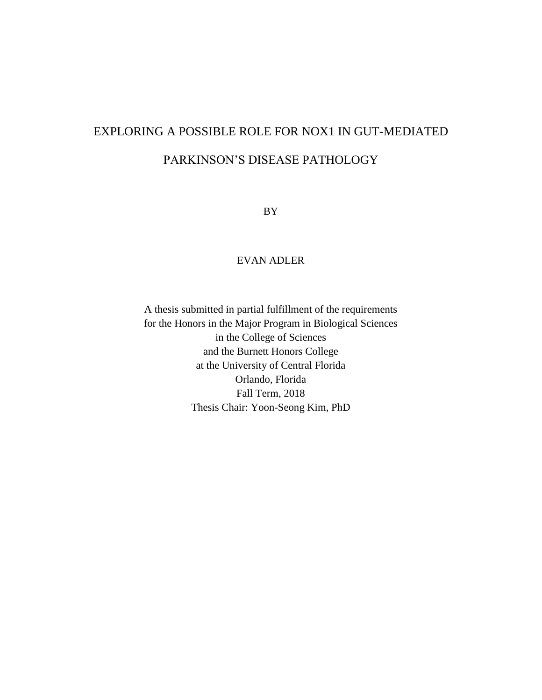# EXPLORING A POSSIBLE ROLE FOR NOX1 IN GUT-MEDIATED PARKINSON'S DISEASE PATHOLOGY

BY

# EVAN ADLER

A thesis submitted in partial fulfillment of the requirements for the Honors in the Major Program in Biological Sciences in the College of Sciences and the Burnett Honors College at the University of Central Florida Orlando, Florida Fall Term, 2018 Thesis Chair: Yoon-Seong Kim, PhD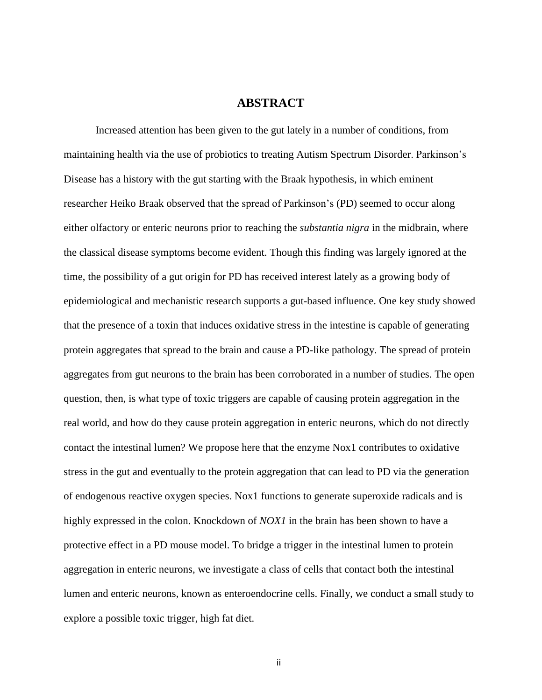# **ABSTRACT**

Increased attention has been given to the gut lately in a number of conditions, from maintaining health via the use of probiotics to treating Autism Spectrum Disorder. Parkinson's Disease has a history with the gut starting with the Braak hypothesis, in which eminent researcher Heiko Braak observed that the spread of Parkinson's (PD) seemed to occur along either olfactory or enteric neurons prior to reaching the *substantia nigra* in the midbrain, where the classical disease symptoms become evident. Though this finding was largely ignored at the time, the possibility of a gut origin for PD has received interest lately as a growing body of epidemiological and mechanistic research supports a gut-based influence. One key study showed that the presence of a toxin that induces oxidative stress in the intestine is capable of generating protein aggregates that spread to the brain and cause a PD-like pathology. The spread of protein aggregates from gut neurons to the brain has been corroborated in a number of studies. The open question, then, is what type of toxic triggers are capable of causing protein aggregation in the real world, and how do they cause protein aggregation in enteric neurons, which do not directly contact the intestinal lumen? We propose here that the enzyme Nox1 contributes to oxidative stress in the gut and eventually to the protein aggregation that can lead to PD via the generation of endogenous reactive oxygen species. Nox1 functions to generate superoxide radicals and is highly expressed in the colon. Knockdown of *NOX1* in the brain has been shown to have a protective effect in a PD mouse model. To bridge a trigger in the intestinal lumen to protein aggregation in enteric neurons, we investigate a class of cells that contact both the intestinal lumen and enteric neurons, known as enteroendocrine cells. Finally, we conduct a small study to explore a possible toxic trigger, high fat diet.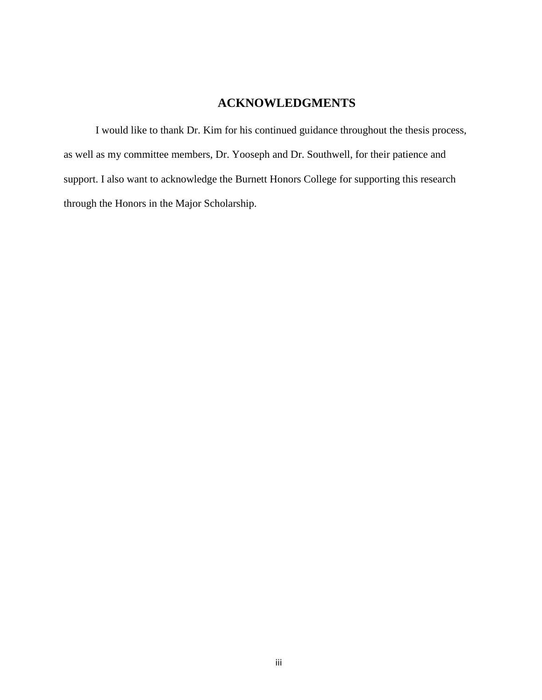# **ACKNOWLEDGMENTS**

I would like to thank Dr. Kim for his continued guidance throughout the thesis process, as well as my committee members, Dr. Yooseph and Dr. Southwell, for their patience and support. I also want to acknowledge the Burnett Honors College for supporting this research through the Honors in the Major Scholarship.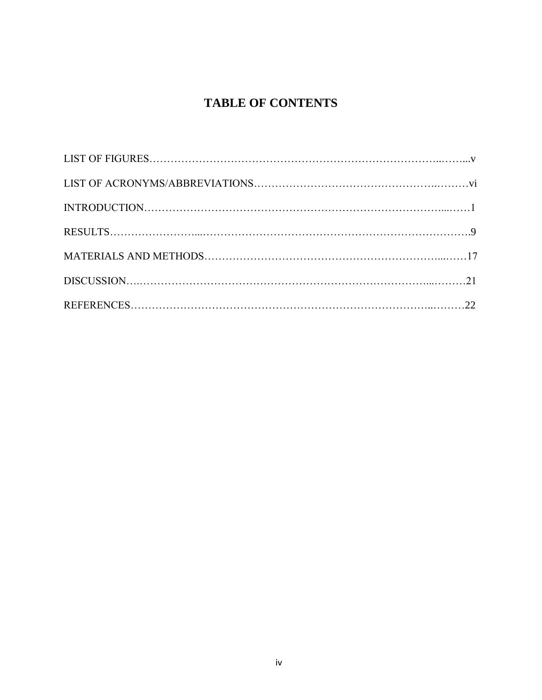# **TABLE OF CONTENTS**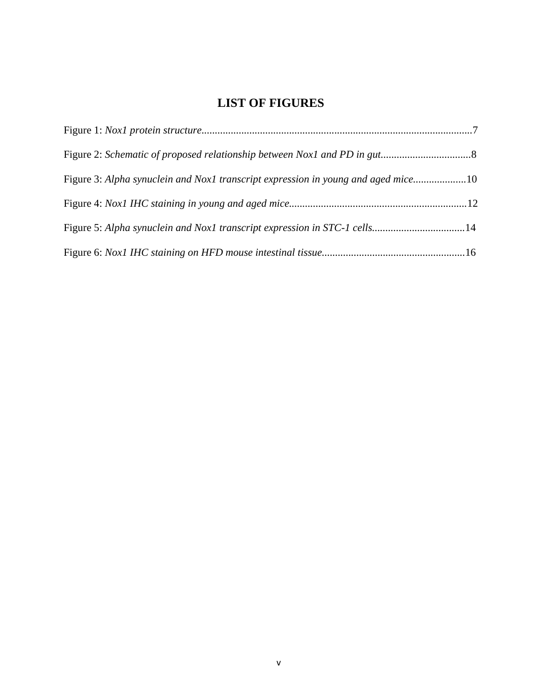# **LIST OF FIGURES**

| Figure 3: Alpha synuclein and Nox1 transcript expression in young and aged mice10 |  |
|-----------------------------------------------------------------------------------|--|
|                                                                                   |  |
|                                                                                   |  |
|                                                                                   |  |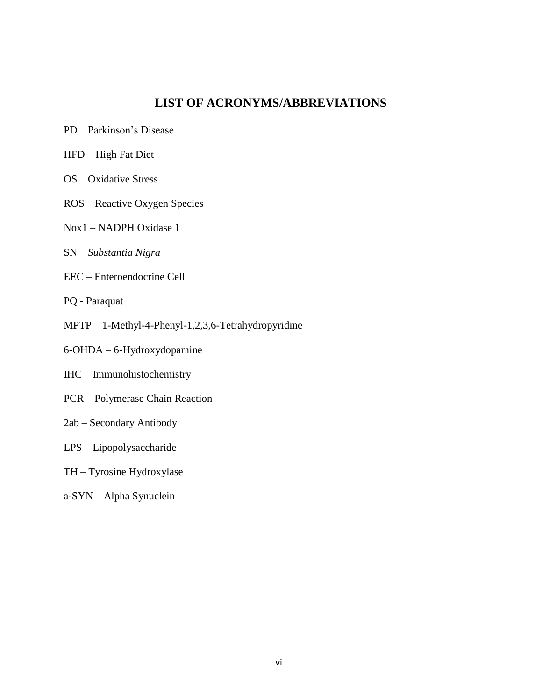# **LIST OF ACRONYMS/ABBREVIATIONS**

- PD Parkinson's Disease
- HFD High Fat Diet
- OS Oxidative Stress
- ROS Reactive Oxygen Species
- Nox1 NADPH Oxidase 1
- SN *Substantia Nigra*
- EEC Enteroendocrine Cell
- PQ Paraquat
- MPTP 1-Methyl-4-Phenyl-1,2,3,6-Tetrahydropyridine
- 6-OHDA 6-Hydroxydopamine
- IHC Immunohistochemistry
- PCR Polymerase Chain Reaction
- 2ab Secondary Antibody
- LPS Lipopolysaccharide
- TH Tyrosine Hydroxylase
- a-SYN Alpha Synuclein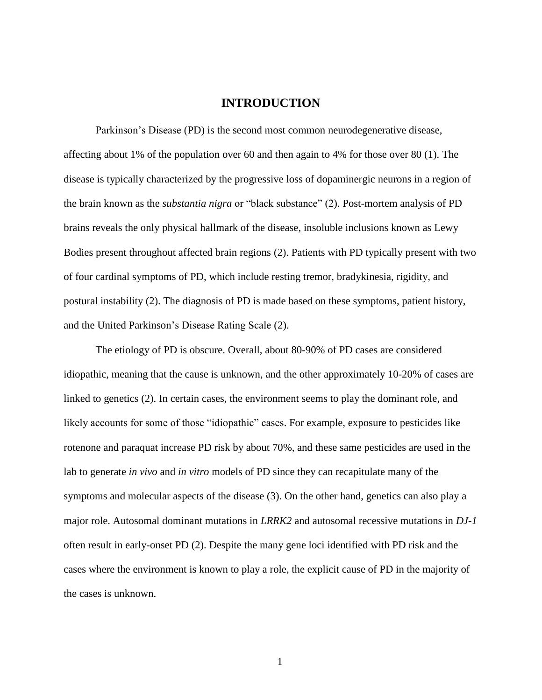## **INTRODUCTION**

Parkinson's Disease (PD) is the second most common neurodegenerative disease, affecting about 1% of the population over 60 and then again to 4% for those over 80 (1). The disease is typically characterized by the progressive loss of dopaminergic neurons in a region of the brain known as the *substantia nigra* or "black substance" (2). Post-mortem analysis of PD brains reveals the only physical hallmark of the disease, insoluble inclusions known as Lewy Bodies present throughout affected brain regions (2). Patients with PD typically present with two of four cardinal symptoms of PD, which include resting tremor, bradykinesia, rigidity, and postural instability (2). The diagnosis of PD is made based on these symptoms, patient history, and the United Parkinson's Disease Rating Scale (2).

The etiology of PD is obscure. Overall, about 80-90% of PD cases are considered idiopathic, meaning that the cause is unknown, and the other approximately 10-20% of cases are linked to genetics (2). In certain cases, the environment seems to play the dominant role, and likely accounts for some of those "idiopathic" cases. For example, exposure to pesticides like rotenone and paraquat increase PD risk by about 70%, and these same pesticides are used in the lab to generate *in vivo* and *in vitro* models of PD since they can recapitulate many of the symptoms and molecular aspects of the disease (3). On the other hand, genetics can also play a major role. Autosomal dominant mutations in *LRRK2* and autosomal recessive mutations in *DJ-1* often result in early-onset PD (2). Despite the many gene loci identified with PD risk and the cases where the environment is known to play a role, the explicit cause of PD in the majority of the cases is unknown.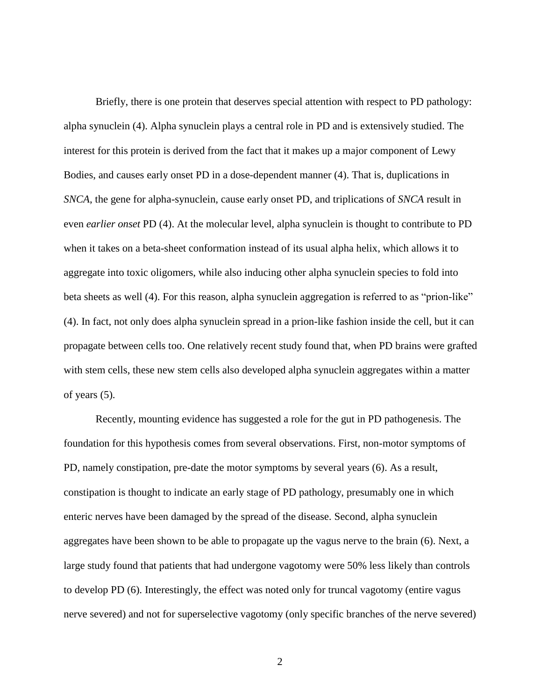Briefly, there is one protein that deserves special attention with respect to PD pathology: alpha synuclein (4). Alpha synuclein plays a central role in PD and is extensively studied. The interest for this protein is derived from the fact that it makes up a major component of Lewy Bodies, and causes early onset PD in a dose-dependent manner (4). That is, duplications in *SNCA*, the gene for alpha-synuclein, cause early onset PD, and triplications of *SNCA* result in even *earlier onset* PD (4). At the molecular level, alpha synuclein is thought to contribute to PD when it takes on a beta-sheet conformation instead of its usual alpha helix, which allows it to aggregate into toxic oligomers, while also inducing other alpha synuclein species to fold into beta sheets as well (4). For this reason, alpha synuclein aggregation is referred to as "prion-like" (4). In fact, not only does alpha synuclein spread in a prion-like fashion inside the cell, but it can propagate between cells too. One relatively recent study found that, when PD brains were grafted with stem cells, these new stem cells also developed alpha synuclein aggregates within a matter of years (5).

Recently, mounting evidence has suggested a role for the gut in PD pathogenesis. The foundation for this hypothesis comes from several observations. First, non-motor symptoms of PD, namely constipation, pre-date the motor symptoms by several years (6). As a result, constipation is thought to indicate an early stage of PD pathology, presumably one in which enteric nerves have been damaged by the spread of the disease. Second, alpha synuclein aggregates have been shown to be able to propagate up the vagus nerve to the brain (6). Next, a large study found that patients that had undergone vagotomy were 50% less likely than controls to develop PD (6). Interestingly, the effect was noted only for truncal vagotomy (entire vagus nerve severed) and not for superselective vagotomy (only specific branches of the nerve severed)

<sup>2</sup>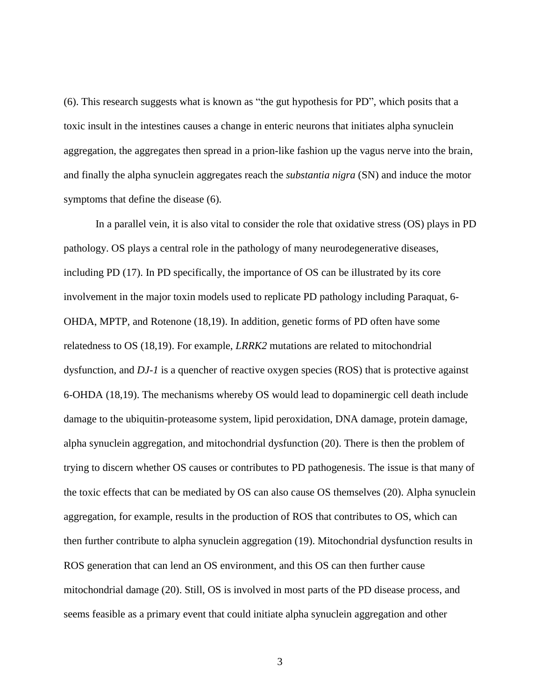(6). This research suggests what is known as "the gut hypothesis for PD", which posits that a toxic insult in the intestines causes a change in enteric neurons that initiates alpha synuclein aggregation, the aggregates then spread in a prion-like fashion up the vagus nerve into the brain, and finally the alpha synuclein aggregates reach the *substantia nigra* (SN) and induce the motor symptoms that define the disease (6).

In a parallel vein, it is also vital to consider the role that oxidative stress (OS) plays in PD pathology. OS plays a central role in the pathology of many neurodegenerative diseases, including PD (17). In PD specifically, the importance of OS can be illustrated by its core involvement in the major toxin models used to replicate PD pathology including Paraquat, 6- OHDA, MPTP, and Rotenone (18,19). In addition, genetic forms of PD often have some relatedness to OS (18,19). For example, *LRRK2* mutations are related to mitochondrial dysfunction, and *DJ-1* is a quencher of reactive oxygen species (ROS) that is protective against 6-OHDA (18,19). The mechanisms whereby OS would lead to dopaminergic cell death include damage to the ubiquitin-proteasome system, lipid peroxidation, DNA damage, protein damage, alpha synuclein aggregation, and mitochondrial dysfunction (20). There is then the problem of trying to discern whether OS causes or contributes to PD pathogenesis. The issue is that many of the toxic effects that can be mediated by OS can also cause OS themselves (20). Alpha synuclein aggregation, for example, results in the production of ROS that contributes to OS, which can then further contribute to alpha synuclein aggregation (19). Mitochondrial dysfunction results in ROS generation that can lend an OS environment, and this OS can then further cause mitochondrial damage (20). Still, OS is involved in most parts of the PD disease process, and seems feasible as a primary event that could initiate alpha synuclein aggregation and other

ix 3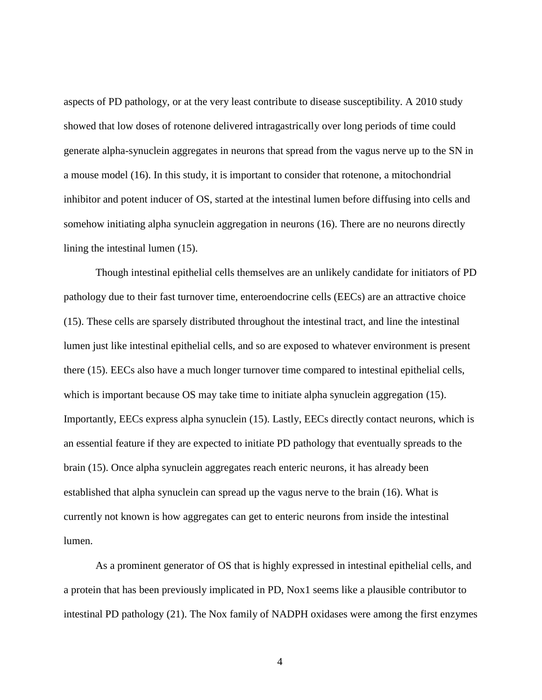aspects of PD pathology, or at the very least contribute to disease susceptibility. A 2010 study showed that low doses of rotenone delivered intragastrically over long periods of time could generate alpha-synuclein aggregates in neurons that spread from the vagus nerve up to the SN in a mouse model (16). In this study, it is important to consider that rotenone, a mitochondrial inhibitor and potent inducer of OS, started at the intestinal lumen before diffusing into cells and somehow initiating alpha synuclein aggregation in neurons (16). There are no neurons directly lining the intestinal lumen (15).

Though intestinal epithelial cells themselves are an unlikely candidate for initiators of PD pathology due to their fast turnover time, enteroendocrine cells (EECs) are an attractive choice (15). These cells are sparsely distributed throughout the intestinal tract, and line the intestinal lumen just like intestinal epithelial cells, and so are exposed to whatever environment is present there (15). EECs also have a much longer turnover time compared to intestinal epithelial cells, which is important because OS may take time to initiate alpha synuclein aggregation (15). Importantly, EECs express alpha synuclein (15). Lastly, EECs directly contact neurons, which is an essential feature if they are expected to initiate PD pathology that eventually spreads to the brain (15). Once alpha synuclein aggregates reach enteric neurons, it has already been established that alpha synuclein can spread up the vagus nerve to the brain (16). What is currently not known is how aggregates can get to enteric neurons from inside the intestinal lumen.

As a prominent generator of OS that is highly expressed in intestinal epithelial cells, and a protein that has been previously implicated in PD, Nox1 seems like a plausible contributor to intestinal PD pathology (21). The Nox family of NADPH oxidases were among the first enzymes

x 4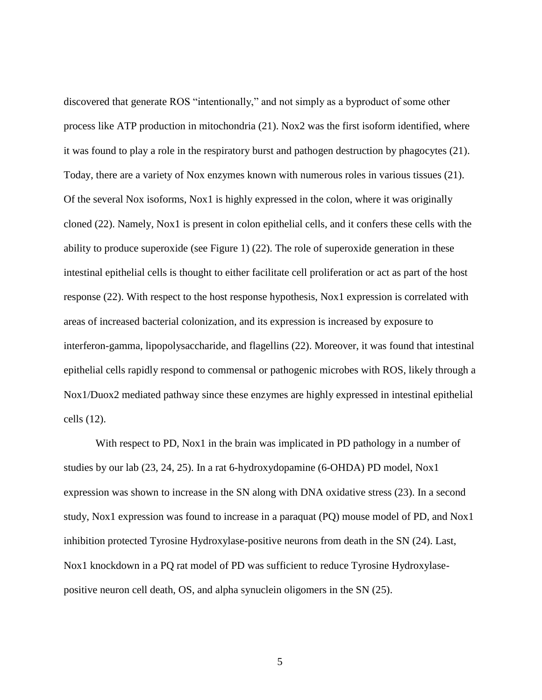discovered that generate ROS "intentionally," and not simply as a byproduct of some other process like ATP production in mitochondria (21). Nox2 was the first isoform identified, where it was found to play a role in the respiratory burst and pathogen destruction by phagocytes (21). Today, there are a variety of Nox enzymes known with numerous roles in various tissues (21). Of the several Nox isoforms, Nox1 is highly expressed in the colon, where it was originally cloned (22). Namely, Nox1 is present in colon epithelial cells, and it confers these cells with the ability to produce superoxide (see Figure 1) (22). The role of superoxide generation in these intestinal epithelial cells is thought to either facilitate cell proliferation or act as part of the host response (22). With respect to the host response hypothesis, Nox1 expression is correlated with areas of increased bacterial colonization, and its expression is increased by exposure to interferon-gamma, lipopolysaccharide, and flagellins (22). Moreover, it was found that intestinal epithelial cells rapidly respond to commensal or pathogenic microbes with ROS, likely through a Nox1/Duox2 mediated pathway since these enzymes are highly expressed in intestinal epithelial cells (12).

With respect to PD, Nox1 in the brain was implicated in PD pathology in a number of studies by our lab (23, 24, 25). In a rat 6-hydroxydopamine (6-OHDA) PD model, Nox1 expression was shown to increase in the SN along with DNA oxidative stress (23). In a second study, Nox1 expression was found to increase in a paraquat (PQ) mouse model of PD, and Nox1 inhibition protected Tyrosine Hydroxylase-positive neurons from death in the SN (24). Last, Nox1 knockdown in a PQ rat model of PD was sufficient to reduce Tyrosine Hydroxylasepositive neuron cell death, OS, and alpha synuclein oligomers in the SN (25).

xi 5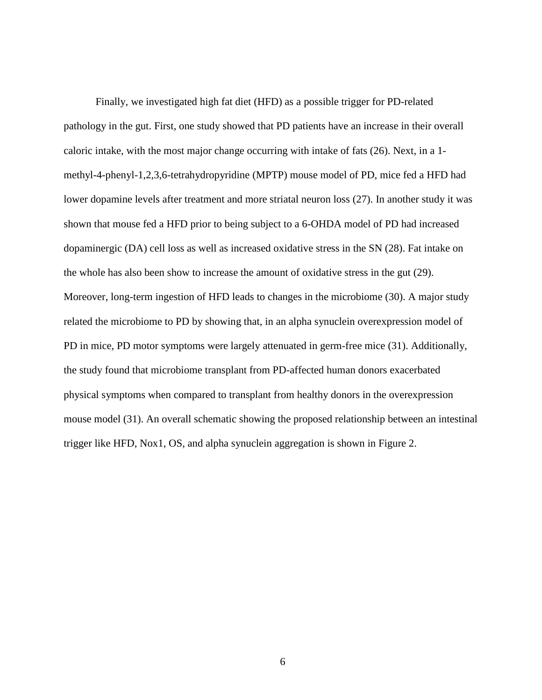Finally, we investigated high fat diet (HFD) as a possible trigger for PD-related pathology in the gut. First, one study showed that PD patients have an increase in their overall caloric intake, with the most major change occurring with intake of fats (26). Next, in a 1 methyl-4-phenyl-1,2,3,6-tetrahydropyridine (MPTP) mouse model of PD, mice fed a HFD had lower dopamine levels after treatment and more striatal neuron loss (27). In another study it was shown that mouse fed a HFD prior to being subject to a 6-OHDA model of PD had increased dopaminergic (DA) cell loss as well as increased oxidative stress in the SN (28). Fat intake on the whole has also been show to increase the amount of oxidative stress in the gut (29). Moreover, long-term ingestion of HFD leads to changes in the microbiome (30). A major study related the microbiome to PD by showing that, in an alpha synuclein overexpression model of PD in mice, PD motor symptoms were largely attenuated in germ-free mice (31). Additionally, the study found that microbiome transplant from PD-affected human donors exacerbated physical symptoms when compared to transplant from healthy donors in the overexpression mouse model (31). An overall schematic showing the proposed relationship between an intestinal trigger like HFD, Nox1, OS, and alpha synuclein aggregation is shown in Figure 2.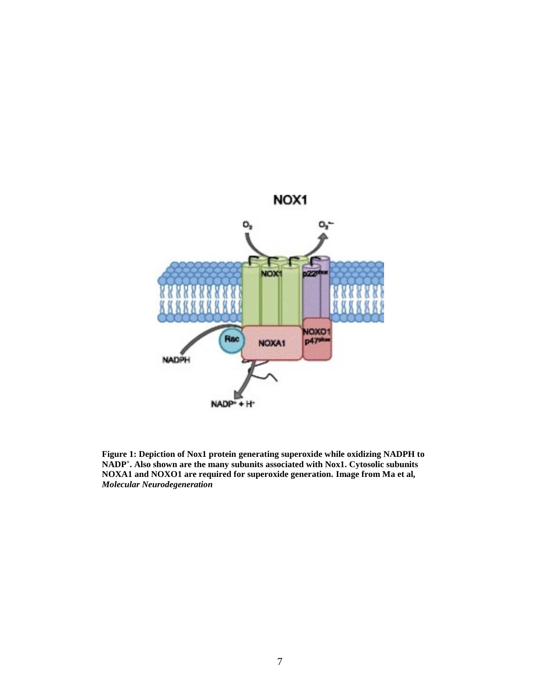

**Figure 1: Depiction of Nox1 protein generating superoxide while oxidizing NADPH to NADP<sup>+</sup> . Also shown are the many subunits associated with Nox1. Cytosolic subunits NOXA1 and NOXO1 are required for superoxide generation. Image from Ma et al***, Molecular Neurodegeneration*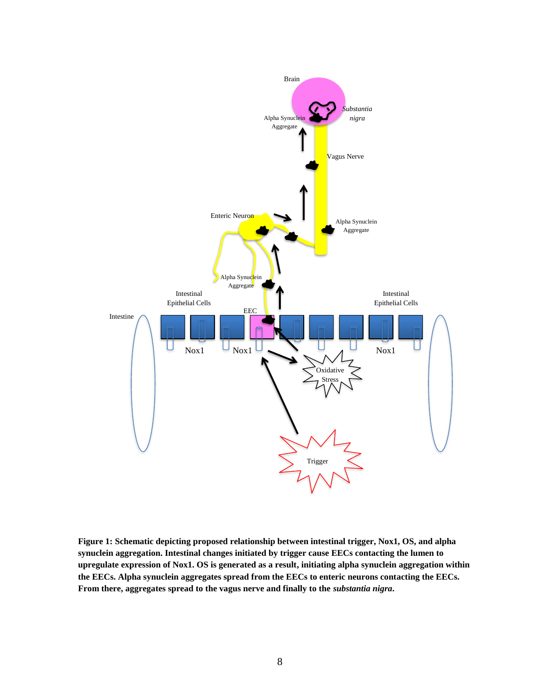

**Figure 1: Schematic depicting proposed relationship between intestinal trigger, Nox1, OS, and alpha synuclein aggregation. Intestinal changes initiated by trigger cause EECs contacting the lumen to upregulate expression of Nox1. OS is generated as a result, initiating alpha synuclein aggregation within the EECs. Alpha synuclein aggregates spread from the EECs to enteric neurons contacting the EECs.**  From there, aggregates spread to the vagus nerve and finally to the *substantia nigra*.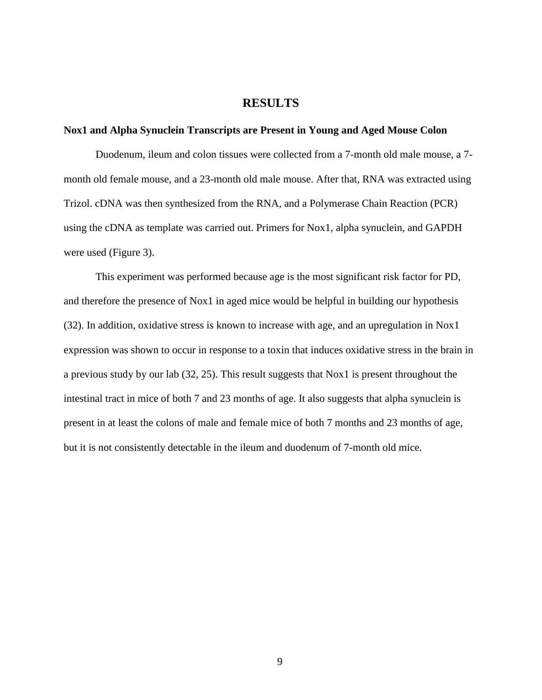### **RESULTS**

#### **Nox1 and Alpha Synuclein Transcripts are Present in Young and Aged Mouse Colon**

Duodenum, ileum and colon tissues were collected from a 7-month old male mouse, a 7 month old female mouse, and a 23-month old male mouse. After that, RNA was extracted using Trizol. cDNA was then synthesized from the RNA, and a Polymerase Chain Reaction (PCR) using the cDNA as template was carried out. Primers for Nox1, alpha synuclein, and GAPDH were used (Figure 3).

This experiment was performed because age is the most significant risk factor for PD, and therefore the presence of Nox1 in aged mice would be helpful in building our hypothesis (32). In addition, oxidative stress is known to increase with age, and an upregulation in Nox1 expression was shown to occur in response to a toxin that induces oxidative stress in the brain in a previous study by our lab (32, 25). This result suggests that Nox1 is present throughout the intestinal tract in mice of both 7 and 23 months of age. It also suggests that alpha synuclein is present in at least the colons of male and female mice of both 7 months and 23 months of age, but it is not consistently detectable in the ileum and duodenum of 7-month old mice.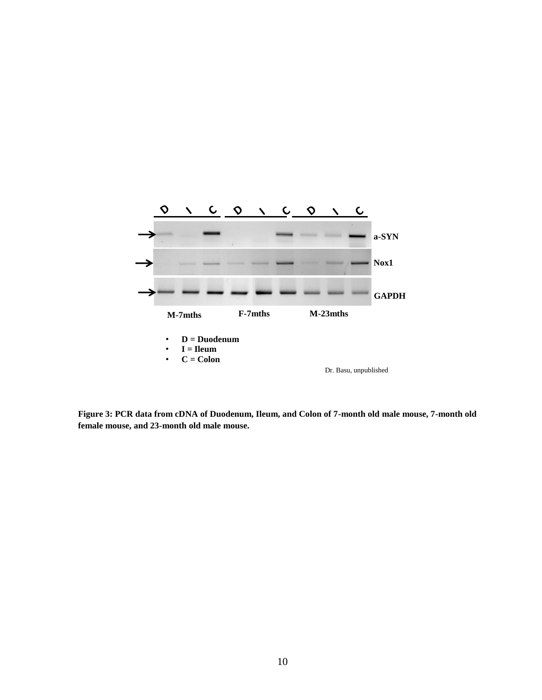

**Figure 3: PCR data from cDNA of Duodenum, Ileum, and Colon of 7-month old male mouse, 7-month old female mouse, and 23-month old male mouse.**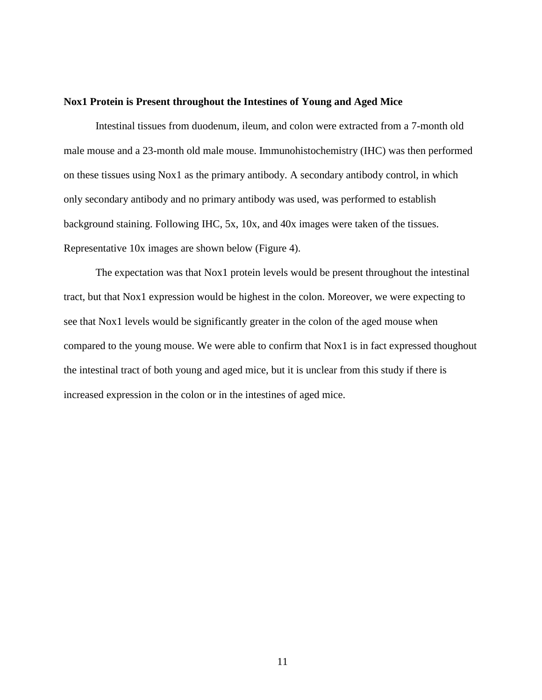#### **Nox1 Protein is Present throughout the Intestines of Young and Aged Mice**

Intestinal tissues from duodenum, ileum, and colon were extracted from a 7-month old male mouse and a 23-month old male mouse. Immunohistochemistry (IHC) was then performed on these tissues using Nox1 as the primary antibody. A secondary antibody control, in which only secondary antibody and no primary antibody was used, was performed to establish background staining. Following IHC, 5x, 10x, and 40x images were taken of the tissues. Representative 10x images are shown below (Figure 4).

The expectation was that Nox1 protein levels would be present throughout the intestinal tract, but that Nox1 expression would be highest in the colon. Moreover, we were expecting to see that Nox1 levels would be significantly greater in the colon of the aged mouse when compared to the young mouse. We were able to confirm that Nox1 is in fact expressed thoughout the intestinal tract of both young and aged mice, but it is unclear from this study if there is increased expression in the colon or in the intestines of aged mice.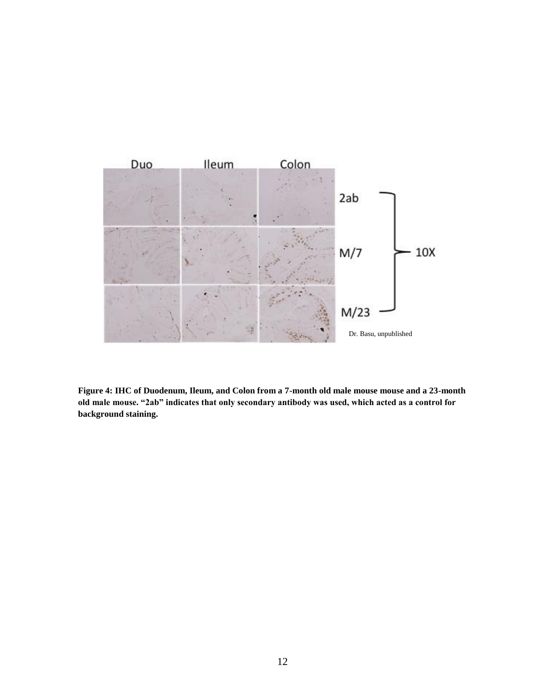

**Figure 4: IHC of Duodenum, Ileum, and Colon from a 7-month old male mouse mouse and a 23-month old male mouse. "2ab" indicates that only secondary antibody was used, which acted as a control for background staining.**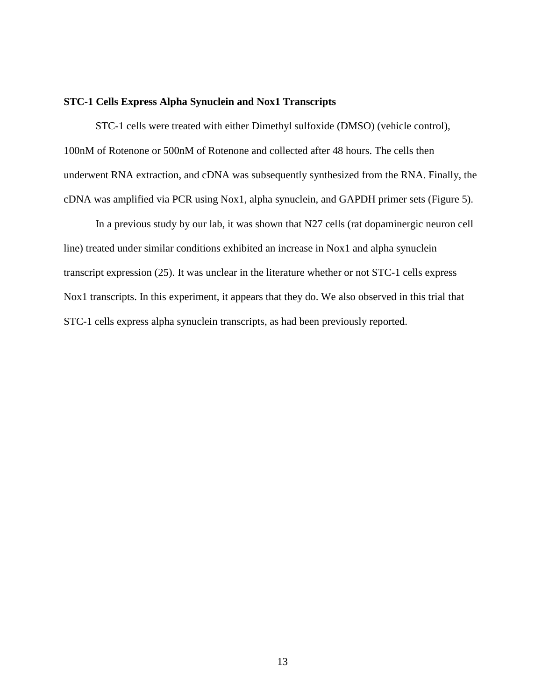#### **STC-1 Cells Express Alpha Synuclein and Nox1 Transcripts**

STC-1 cells were treated with either Dimethyl sulfoxide (DMSO) (vehicle control), 100nM of Rotenone or 500nM of Rotenone and collected after 48 hours. The cells then underwent RNA extraction, and cDNA was subsequently synthesized from the RNA. Finally, the cDNA was amplified via PCR using Nox1, alpha synuclein, and GAPDH primer sets (Figure 5).

In a previous study by our lab, it was shown that N27 cells (rat dopaminergic neuron cell line) treated under similar conditions exhibited an increase in Nox1 and alpha synuclein transcript expression (25). It was unclear in the literature whether or not STC-1 cells express Nox1 transcripts. In this experiment, it appears that they do. We also observed in this trial that STC-1 cells express alpha synuclein transcripts, as had been previously reported.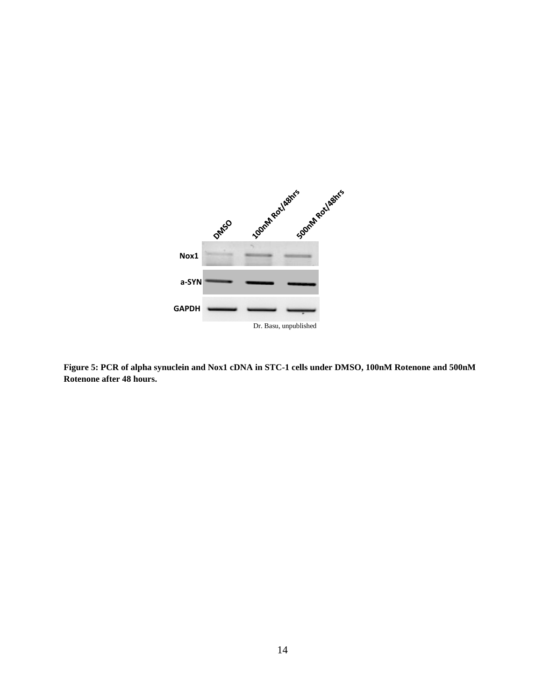

**Figure 5: PCR of alpha synuclein and Nox1 cDNA in STC-1 cells under DMSO, 100nM Rotenone and 500nM Rotenone after 48 hours.**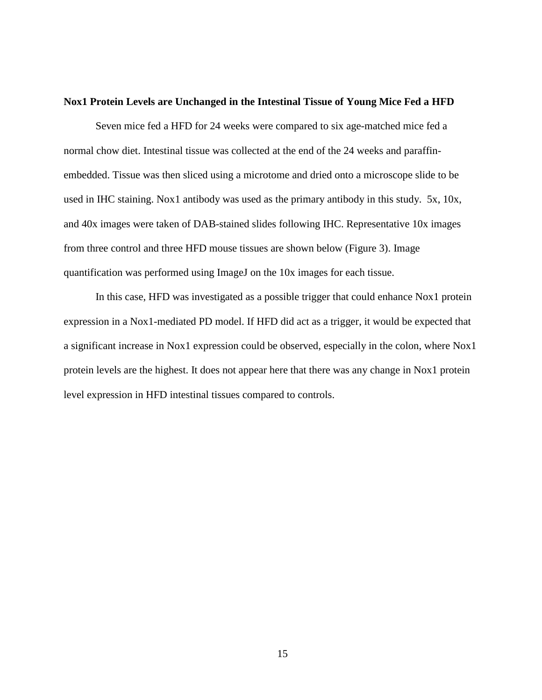#### **Nox1 Protein Levels are Unchanged in the Intestinal Tissue of Young Mice Fed a HFD**

Seven mice fed a HFD for 24 weeks were compared to six age-matched mice fed a normal chow diet. Intestinal tissue was collected at the end of the 24 weeks and paraffinembedded. Tissue was then sliced using a microtome and dried onto a microscope slide to be used in IHC staining. Nox1 antibody was used as the primary antibody in this study. 5x, 10x, and 40x images were taken of DAB-stained slides following IHC. Representative 10x images from three control and three HFD mouse tissues are shown below (Figure 3). Image quantification was performed using ImageJ on the 10x images for each tissue.

In this case, HFD was investigated as a possible trigger that could enhance Nox1 protein expression in a Nox1-mediated PD model. If HFD did act as a trigger, it would be expected that a significant increase in Nox1 expression could be observed, especially in the colon, where Nox1 protein levels are the highest. It does not appear here that there was any change in Nox1 protein level expression in HFD intestinal tissues compared to controls.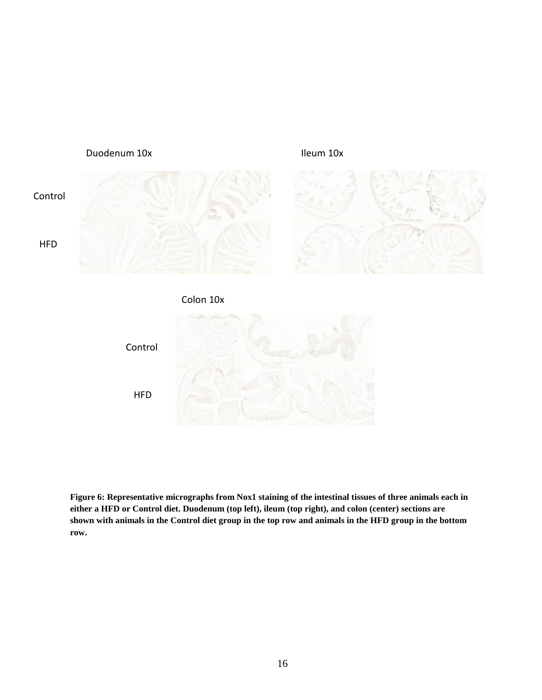





**Figure 6: Representative micrographs from Nox1 staining of the intestinal tissues of three animals each in either a HFD or Control diet. Duodenum (top left), ileum (top right), and colon (center) sections are shown with animals in the Control diet group in the top row and animals in the HFD group in the bottom row.**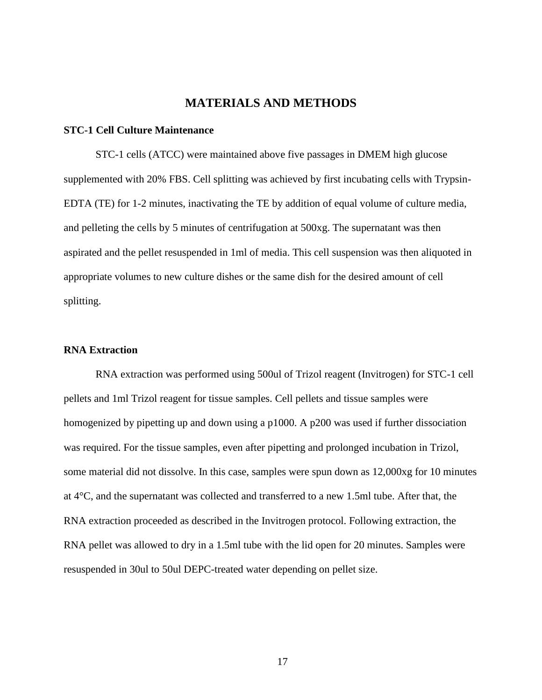# **MATERIALS AND METHODS**

#### **STC-1 Cell Culture Maintenance**

STC-1 cells (ATCC) were maintained above five passages in DMEM high glucose supplemented with 20% FBS. Cell splitting was achieved by first incubating cells with Trypsin-EDTA (TE) for 1-2 minutes, inactivating the TE by addition of equal volume of culture media, and pelleting the cells by 5 minutes of centrifugation at 500xg. The supernatant was then aspirated and the pellet resuspended in 1ml of media. This cell suspension was then aliquoted in appropriate volumes to new culture dishes or the same dish for the desired amount of cell splitting.

#### **RNA Extraction**

RNA extraction was performed using 500ul of Trizol reagent (Invitrogen) for STC-1 cell pellets and 1ml Trizol reagent for tissue samples. Cell pellets and tissue samples were homogenized by pipetting up and down using a p1000. A p200 was used if further dissociation was required. For the tissue samples, even after pipetting and prolonged incubation in Trizol, some material did not dissolve. In this case, samples were spun down as 12,000xg for 10 minutes at 4°C, and the supernatant was collected and transferred to a new 1.5ml tube. After that, the RNA extraction proceeded as described in the Invitrogen protocol. Following extraction, the RNA pellet was allowed to dry in a 1.5ml tube with the lid open for 20 minutes. Samples were resuspended in 30ul to 50ul DEPC-treated water depending on pellet size.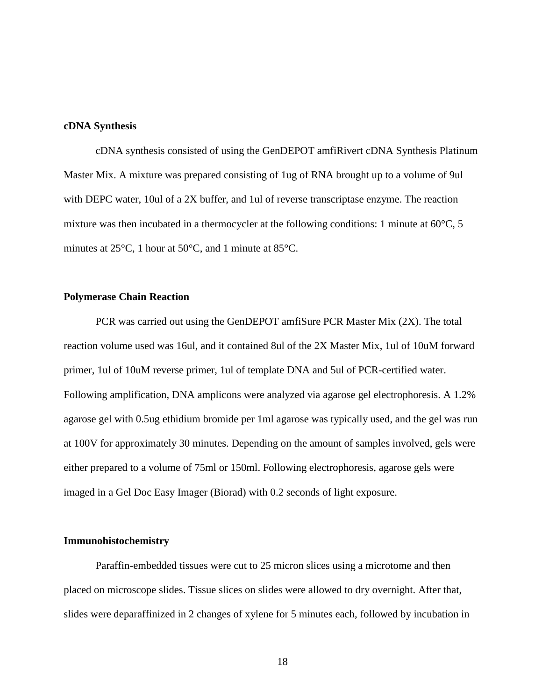#### **cDNA Synthesis**

cDNA synthesis consisted of using the GenDEPOT amfiRivert cDNA Synthesis Platinum Master Mix. A mixture was prepared consisting of 1ug of RNA brought up to a volume of 9ul with DEPC water, 10ul of a 2X buffer, and 1ul of reverse transcriptase enzyme. The reaction mixture was then incubated in a thermocycler at the following conditions: 1 minute at  $60^{\circ}$ C, 5 minutes at 25°C, 1 hour at 50°C, and 1 minute at 85°C.

#### **Polymerase Chain Reaction**

PCR was carried out using the GenDEPOT amfiSure PCR Master Mix (2X). The total reaction volume used was 16ul, and it contained 8ul of the 2X Master Mix, 1ul of 10uM forward primer, 1ul of 10uM reverse primer, 1ul of template DNA and 5ul of PCR-certified water. Following amplification, DNA amplicons were analyzed via agarose gel electrophoresis. A 1.2% agarose gel with 0.5ug ethidium bromide per 1ml agarose was typically used, and the gel was run at 100V for approximately 30 minutes. Depending on the amount of samples involved, gels were either prepared to a volume of 75ml or 150ml. Following electrophoresis, agarose gels were imaged in a Gel Doc Easy Imager (Biorad) with 0.2 seconds of light exposure.

#### **Immunohistochemistry**

Paraffin-embedded tissues were cut to 25 micron slices using a microtome and then placed on microscope slides. Tissue slices on slides were allowed to dry overnight. After that, slides were deparaffinized in 2 changes of xylene for 5 minutes each, followed by incubation in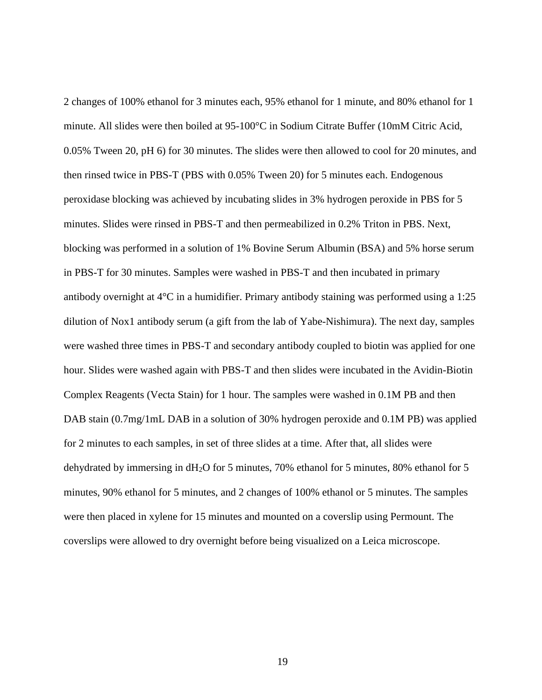2 changes of 100% ethanol for 3 minutes each, 95% ethanol for 1 minute, and 80% ethanol for 1 minute. All slides were then boiled at 95-100°C in Sodium Citrate Buffer (10mM Citric Acid, 0.05% Tween 20, pH 6) for 30 minutes. The slides were then allowed to cool for 20 minutes, and then rinsed twice in PBS-T (PBS with 0.05% Tween 20) for 5 minutes each. Endogenous peroxidase blocking was achieved by incubating slides in 3% hydrogen peroxide in PBS for 5 minutes. Slides were rinsed in PBS-T and then permeabilized in 0.2% Triton in PBS. Next, blocking was performed in a solution of 1% Bovine Serum Albumin (BSA) and 5% horse serum in PBS-T for 30 minutes. Samples were washed in PBS-T and then incubated in primary antibody overnight at 4°C in a humidifier. Primary antibody staining was performed using a 1:25 dilution of Nox1 antibody serum (a gift from the lab of Yabe-Nishimura). The next day, samples were washed three times in PBS-T and secondary antibody coupled to biotin was applied for one hour. Slides were washed again with PBS-T and then slides were incubated in the Avidin-Biotin Complex Reagents (Vecta Stain) for 1 hour. The samples were washed in 0.1M PB and then DAB stain  $(0.7 \text{mg}/1 \text{mL}$  DAB in a solution of 30% hydrogen peroxide and 0.1M PB) was applied for 2 minutes to each samples, in set of three slides at a time. After that, all slides were dehydrated by immersing in dH<sub>2</sub>O for 5 minutes, 70% ethanol for 5 minutes, 80% ethanol for 5 minutes, 90% ethanol for 5 minutes, and 2 changes of 100% ethanol or 5 minutes. The samples were then placed in xylene for 15 minutes and mounted on a coverslip using Permount. The coverslips were allowed to dry overnight before being visualized on a Leica microscope.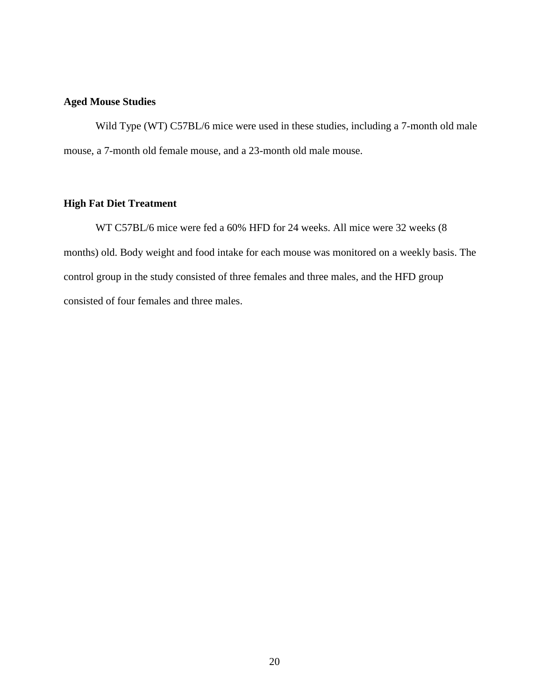# **Aged Mouse Studies**

Wild Type (WT) C57BL/6 mice were used in these studies, including a 7-month old male mouse, a 7-month old female mouse, and a 23-month old male mouse.

#### **High Fat Diet Treatment**

WT C57BL/6 mice were fed a 60% HFD for 24 weeks. All mice were 32 weeks (8 months) old. Body weight and food intake for each mouse was monitored on a weekly basis. The control group in the study consisted of three females and three males, and the HFD group consisted of four females and three males.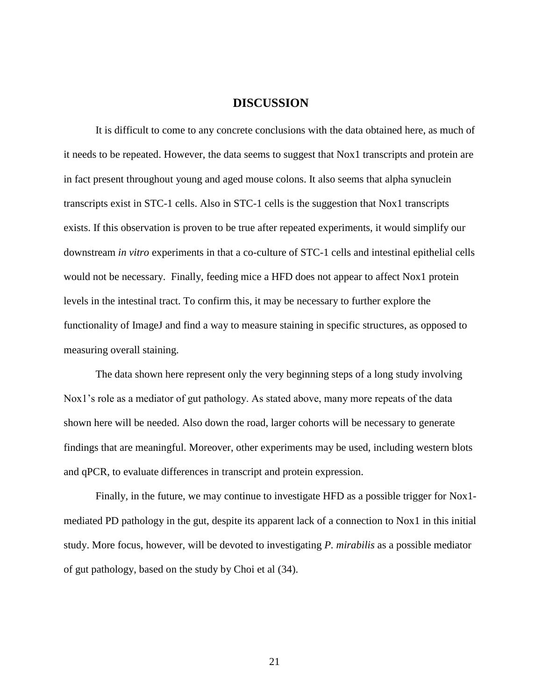# **DISCUSSION**

It is difficult to come to any concrete conclusions with the data obtained here, as much of it needs to be repeated. However, the data seems to suggest that Nox1 transcripts and protein are in fact present throughout young and aged mouse colons. It also seems that alpha synuclein transcripts exist in STC-1 cells. Also in STC-1 cells is the suggestion that Nox1 transcripts exists. If this observation is proven to be true after repeated experiments, it would simplify our downstream *in vitro* experiments in that a co-culture of STC-1 cells and intestinal epithelial cells would not be necessary. Finally, feeding mice a HFD does not appear to affect Nox1 protein levels in the intestinal tract. To confirm this, it may be necessary to further explore the functionality of ImageJ and find a way to measure staining in specific structures, as opposed to measuring overall staining.

The data shown here represent only the very beginning steps of a long study involving Nox1's role as a mediator of gut pathology. As stated above, many more repeats of the data shown here will be needed. Also down the road, larger cohorts will be necessary to generate findings that are meaningful. Moreover, other experiments may be used, including western blots and qPCR, to evaluate differences in transcript and protein expression.

Finally, in the future, we may continue to investigate HFD as a possible trigger for Nox1 mediated PD pathology in the gut, despite its apparent lack of a connection to Nox1 in this initial study. More focus, however, will be devoted to investigating *P. mirabilis* as a possible mediator of gut pathology, based on the study by Choi et al (34).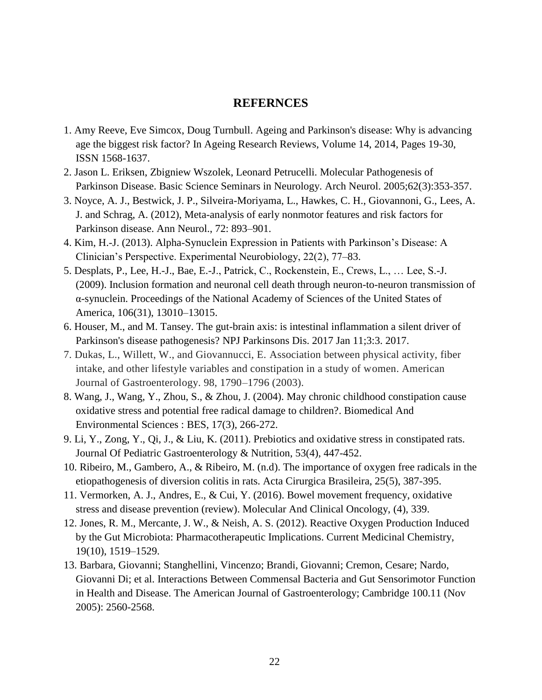# **REFERNCES**

- 1. Amy Reeve, Eve Simcox, Doug Turnbull. Ageing and Parkinson's disease: Why is advancing age the biggest risk factor? In Ageing Research Reviews, Volume 14, 2014, Pages 19-30, ISSN 1568-1637.
- 2. Jason L. Eriksen, Zbigniew Wszolek, Leonard Petrucelli. Molecular Pathogenesis of Parkinson Disease. Basic Science Seminars in Neurology. Arch Neurol. 2005;62(3):353-357.
- 3. Noyce, A. J., Bestwick, J. P., Silveira-Moriyama, L., Hawkes, C. H., Giovannoni, G., Lees, A. J. and Schrag, A. (2012), Meta-analysis of early nonmotor features and risk factors for Parkinson disease. Ann Neurol., 72: 893–901.
- 4. Kim, H.-J. (2013). Alpha-Synuclein Expression in Patients with Parkinson's Disease: A Clinician's Perspective. Experimental Neurobiology, 22(2), 77–83.
- 5. Desplats, P., Lee, H.-J., Bae, E.-J., Patrick, C., Rockenstein, E., Crews, L., … Lee, S.-J. (2009). Inclusion formation and neuronal cell death through neuron-to-neuron transmission of α-synuclein. Proceedings of the National Academy of Sciences of the United States of America, 106(31), 13010–13015.
- 6. Houser, M., and M. Tansey. The gut-brain axis: is intestinal inflammation a silent driver of Parkinson's disease pathogenesis? NPJ Parkinsons Dis. 2017 Jan 11;3:3. 2017.
- 7. Dukas, L., Willett, W., and Giovannucci, E. Association between physical activity, fiber intake, and other lifestyle variables and constipation in a study of women. American Journal of Gastroenterology. 98, 1790–1796 (2003).
- 8. Wang, J., Wang, Y., Zhou, S., & Zhou, J. (2004). May chronic childhood constipation cause oxidative stress and potential free radical damage to children?. Biomedical And Environmental Sciences : BES, 17(3), 266-272.
- 9. Li, Y., Zong, Y., Qi, J., & Liu, K. (2011). Prebiotics and oxidative stress in constipated rats. Journal Of Pediatric Gastroenterology & Nutrition, 53(4), 447-452.
- 10. Ribeiro, M., Gambero, A., & Ribeiro, M. (n.d). The importance of oxygen free radicals in the etiopathogenesis of diversion colitis in rats. Acta Cirurgica Brasileira, 25(5), 387-395.
- 11. Vermorken, A. J., Andres, E., & Cui, Y. (2016). Bowel movement frequency, oxidative stress and disease prevention (review). Molecular And Clinical Oncology, (4), 339.
- 12. Jones, R. M., Mercante, J. W., & Neish, A. S. (2012). Reactive Oxygen Production Induced by the Gut Microbiota: Pharmacotherapeutic Implications. Current Medicinal Chemistry, 19(10), 1519–1529.
- 13. Barbara, Giovanni; Stanghellini, Vincenzo; Brandi, Giovanni; Cremon, Cesare; Nardo, Giovanni Di; et al. Interactions Between Commensal Bacteria and Gut Sensorimotor Function in Health and Disease. The American Journal of Gastroenterology; Cambridge 100.11 (Nov 2005): 2560-2568.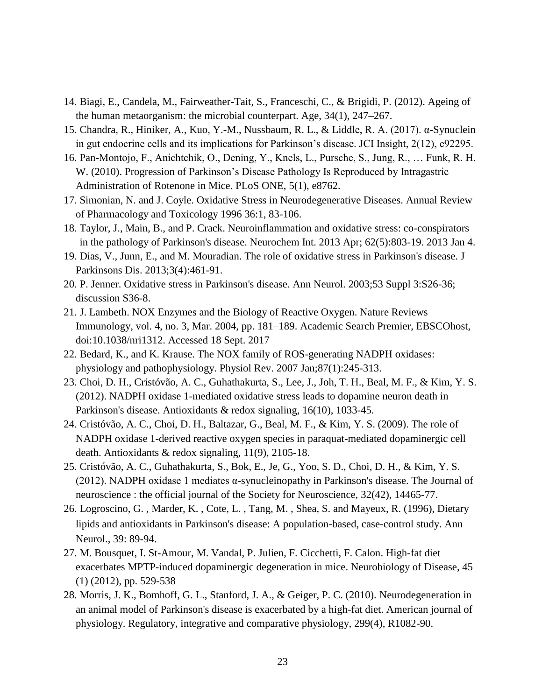- 14. Biagi, E., Candela, M., Fairweather-Tait, S., Franceschi, C., & Brigidi, P. (2012). Ageing of the human metaorganism: the microbial counterpart. Age, 34(1), 247–267.
- 15. Chandra, R., Hiniker, A., Kuo, Y.-M., Nussbaum, R. L., & Liddle, R. A. (2017). α-Synuclein in gut endocrine cells and its implications for Parkinson's disease. JCI Insight, 2(12), e92295.
- 16. Pan-Montojo, F., Anichtchik, O., Dening, Y., Knels, L., Pursche, S., Jung, R., … Funk, R. H. W. (2010). Progression of Parkinson's Disease Pathology Is Reproduced by Intragastric Administration of Rotenone in Mice. PLoS ONE, 5(1), e8762.
- 17. Simonian, N. and J. Coyle. Oxidative Stress in Neurodegenerative Diseases. Annual Review of Pharmacology and Toxicology 1996 36:1, 83-106.
- 18. Taylor, J., Main, B., and P. Crack. Neuroinflammation and oxidative stress: co-conspirators in the pathology of Parkinson's disease. Neurochem Int. 2013 Apr; 62(5):803-19. 2013 Jan 4.
- 19. Dias, V., Junn, E., and M. Mouradian. The role of oxidative stress in Parkinson's disease. J Parkinsons Dis. 2013;3(4):461-91.
- 20. P. Jenner. Oxidative stress in Parkinson's disease. Ann Neurol. 2003;53 Suppl 3:S26-36; discussion S36-8.
- 21. J. Lambeth. NOX Enzymes and the Biology of Reactive Oxygen. Nature Reviews Immunology, vol. 4, no. 3, Mar. 2004, pp. 181–189. Academic Search Premier, EBSCOhost, doi:10.1038/nri1312. Accessed 18 Sept. 2017
- 22. Bedard, K., and K. Krause. The NOX family of ROS-generating NADPH oxidases: physiology and pathophysiology. Physiol Rev. 2007 Jan;87(1):245-313.
- 23. Choi, D. H., Cristóvão, A. C., Guhathakurta, S., Lee, J., Joh, T. H., Beal, M. F., & Kim, Y. S. (2012). NADPH oxidase 1-mediated oxidative stress leads to dopamine neuron death in Parkinson's disease. Antioxidants & redox signaling, 16(10), 1033-45.
- 24. Cristóvão, A. C., Choi, D. H., Baltazar, G., Beal, M. F., & Kim, Y. S. (2009). The role of NADPH oxidase 1-derived reactive oxygen species in paraquat-mediated dopaminergic cell death. Antioxidants & redox signaling, 11(9), 2105-18.
- 25. Cristóvão, A. C., Guhathakurta, S., Bok, E., Je, G., Yoo, S. D., Choi, D. H., & Kim, Y. S. (2012). NADPH oxidase 1 mediates α-synucleinopathy in Parkinson's disease. The Journal of neuroscience : the official journal of the Society for Neuroscience, 32(42), 14465-77.
- 26. Logroscino, G. , Marder, K. , Cote, L. , Tang, M. , Shea, S. and Mayeux, R. (1996), Dietary lipids and antioxidants in Parkinson's disease: A population‐based, case‐control study. Ann Neurol., 39: 89-94.
- 27. M. Bousquet, I. St-Amour, M. Vandal, P. Julien, F. Cicchetti, F. Calon. High-fat diet exacerbates MPTP-induced dopaminergic degeneration in mice. Neurobiology of Disease, 45 (1) (2012), pp. 529-538
- 28. Morris, J. K., Bomhoff, G. L., Stanford, J. A., & Geiger, P. C. (2010). Neurodegeneration in an animal model of Parkinson's disease is exacerbated by a high-fat diet. American journal of physiology. Regulatory, integrative and comparative physiology, 299(4), R1082-90.